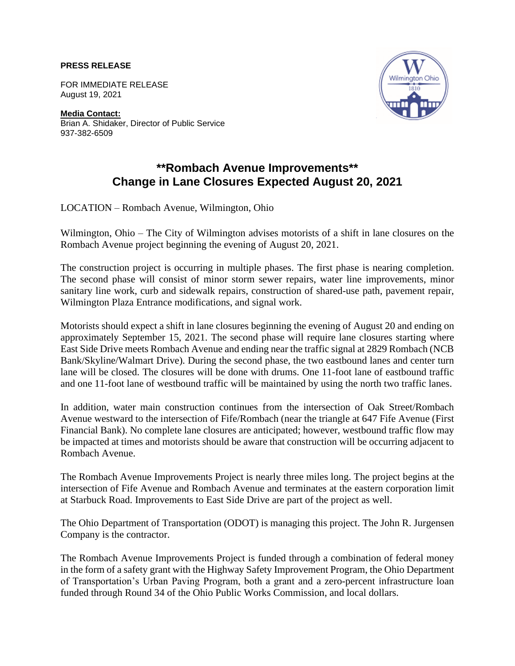## **PRESS RELEASE**

FOR IMMEDIATE RELEASE August 19, 2021

**Media Contact:** Brian A. Shidaker, Director of Public Service 937-382-6509



## **\*\*Rombach Avenue Improvements\*\* Change in Lane Closures Expected August 20, 2021**

LOCATION – Rombach Avenue, Wilmington, Ohio

Wilmington, Ohio – The City of Wilmington advises motorists of a shift in lane closures on the Rombach Avenue project beginning the evening of August 20, 2021.

The construction project is occurring in multiple phases. The first phase is nearing completion. The second phase will consist of minor storm sewer repairs, water line improvements, minor sanitary line work, curb and sidewalk repairs, construction of shared-use path, pavement repair, Wilmington Plaza Entrance modifications, and signal work.

Motorists should expect a shift in lane closures beginning the evening of August 20 and ending on approximately September 15, 2021. The second phase will require lane closures starting where East Side Drive meets Rombach Avenue and ending near the traffic signal at 2829 Rombach (NCB Bank/Skyline/Walmart Drive). During the second phase, the two eastbound lanes and center turn lane will be closed. The closures will be done with drums. One 11-foot lane of eastbound traffic and one 11-foot lane of westbound traffic will be maintained by using the north two traffic lanes.

In addition, water main construction continues from the intersection of Oak Street/Rombach Avenue westward to the intersection of Fife/Rombach (near the triangle at 647 Fife Avenue (First Financial Bank). No complete lane closures are anticipated; however, westbound traffic flow may be impacted at times and motorists should be aware that construction will be occurring adjacent to Rombach Avenue.

The Rombach Avenue Improvements Project is nearly three miles long. The project begins at the intersection of Fife Avenue and Rombach Avenue and terminates at the eastern corporation limit at Starbuck Road. Improvements to East Side Drive are part of the project as well.

The Ohio Department of Transportation (ODOT) is managing this project. The John R. Jurgensen Company is the contractor.

The Rombach Avenue Improvements Project is funded through a combination of federal money in the form of a safety grant with the Highway Safety Improvement Program, the Ohio Department of Transportation's Urban Paving Program, both a grant and a zero-percent infrastructure loan funded through Round 34 of the Ohio Public Works Commission, and local dollars.